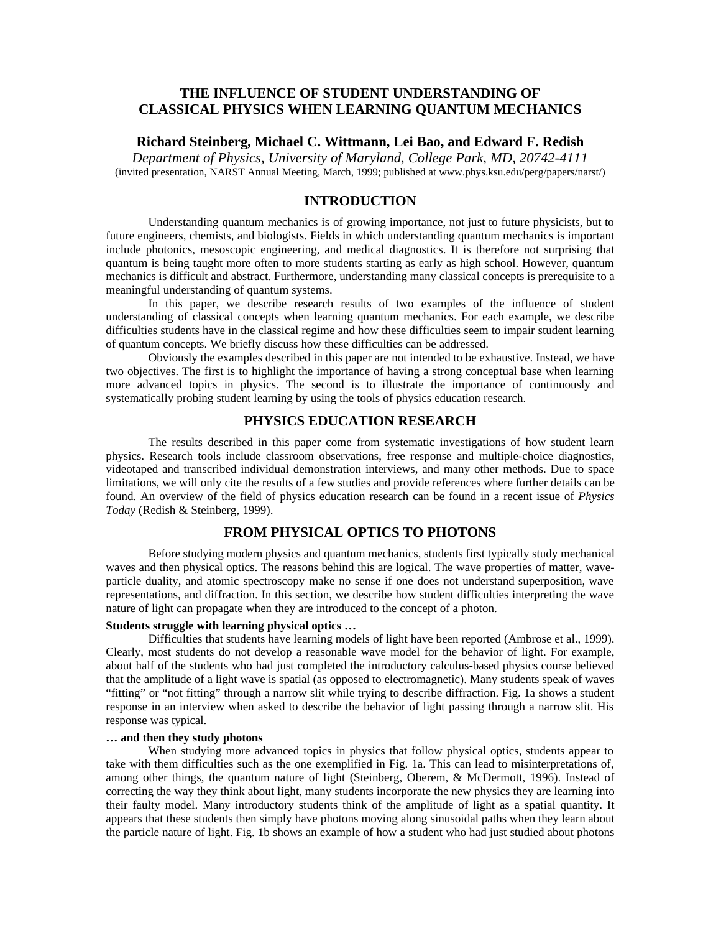# **THE INFLUENCE OF STUDENT UNDERSTANDING OF CLASSICAL PHYSICS WHEN LEARNING QUANTUM MECHANICS**

### **Richard Steinberg, Michael C. Wittmann, Lei Bao, and Edward F. Redish**

*Department of Physics, University of Maryland, College Park, MD, 20742-4111* (invited presentation, NARST Annual Meeting, March, 1999; published at www.phys.ksu.edu/perg/papers/narst/)

## **INTRODUCTION**

Understanding quantum mechanics is of growing importance, not just to future physicists, but to future engineers, chemists, and biologists. Fields in which understanding quantum mechanics is important include photonics, mesoscopic engineering, and medical diagnostics. It is therefore not surprising that quantum is being taught more often to more students starting as early as high school. However, quantum mechanics is difficult and abstract. Furthermore, understanding many classical concepts is prerequisite to a meaningful understanding of quantum systems.

In this paper, we describe research results of two examples of the influence of student understanding of classical concepts when learning quantum mechanics. For each example, we describe difficulties students have in the classical regime and how these difficulties seem to impair student learning of quantum concepts. We briefly discuss how these difficulties can be addressed.

Obviously the examples described in this paper are not intended to be exhaustive. Instead, we have two objectives. The first is to highlight the importance of having a strong conceptual base when learning more advanced topics in physics. The second is to illustrate the importance of continuously and systematically probing student learning by using the tools of physics education research.

# **PHYSICS EDUCATION RESEARCH**

The results described in this paper come from systematic investigations of how student learn physics. Research tools include classroom observations, free response and multiple-choice diagnostics, videotaped and transcribed individual demonstration interviews, and many other methods. Due to space limitations, we will only cite the results of a few studies and provide references where further details can be found. An overview of the field of physics education research can be found in a recent issue of *Physics Today* (Redish & Steinberg, 1999).

## **FROM PHYSICAL OPTICS TO PHOTONS**

Before studying modern physics and quantum mechanics, students first typically study mechanical waves and then physical optics. The reasons behind this are logical. The wave properties of matter, waveparticle duality, and atomic spectroscopy make no sense if one does not understand superposition, wave representations, and diffraction. In this section, we describe how student difficulties interpreting the wave nature of light can propagate when they are introduced to the concept of a photon.

#### **Students struggle with learning physical optics …**

Difficulties that students have learning models of light have been reported (Ambrose et al., 1999). Clearly, most students do not develop a reasonable wave model for the behavior of light. For example, about half of the students who had just completed the introductory calculus-based physics course believed that the amplitude of a light wave is spatial (as opposed to electromagnetic). Many students speak of waves "fitting" or "not fitting" through a narrow slit while trying to describe diffraction. Fig. 1a shows a student response in an interview when asked to describe the behavior of light passing through a narrow slit. His response was typical.

#### **… and then they study photons**

When studying more advanced topics in physics that follow physical optics, students appear to take with them difficulties such as the one exemplified in Fig. 1a. This can lead to misinterpretations of, among other things, the quantum nature of light (Steinberg, Oberem, & McDermott, 1996). Instead of correcting the way they think about light, many students incorporate the new physics they are learning into their faulty model. Many introductory students think of the amplitude of light as a spatial quantity. It appears that these students then simply have photons moving along sinusoidal paths when they learn about the particle nature of light. Fig. 1b shows an example of how a student who had just studied about photons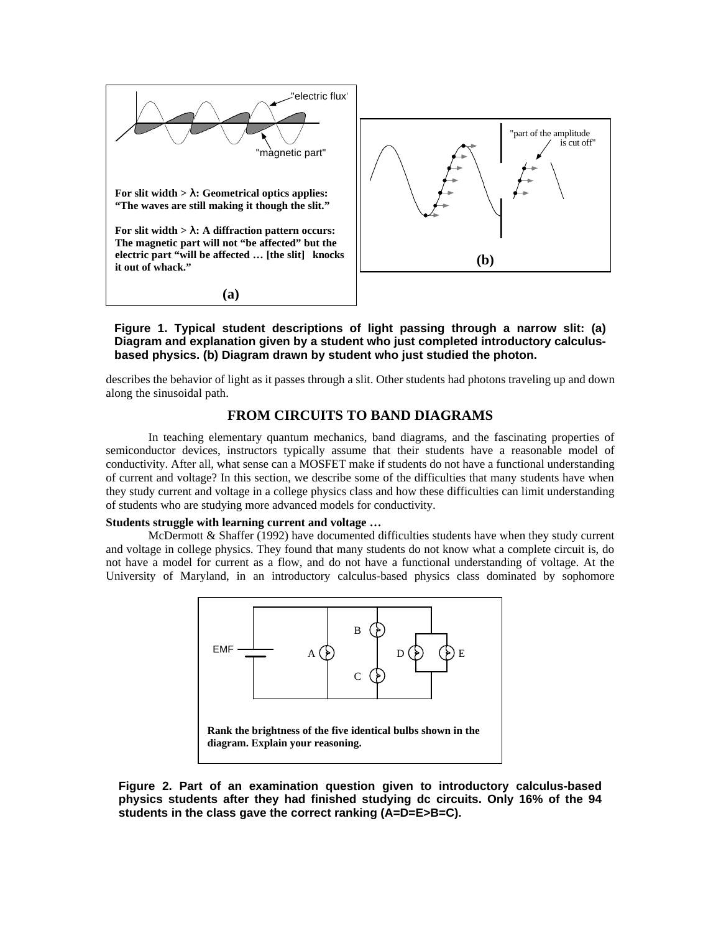

**Figure 1. Typical student descriptions of light passing through a narrow slit: (a) Diagram and explanation given by a student who just completed introductory calculusbased physics. (b) Diagram drawn by student who just studied the photon.**

describes the behavior of light as it passes through a slit. Other students had photons traveling up and down along the sinusoidal path.

### **FROM CIRCUITS TO BAND DIAGRAMS**

In teaching elementary quantum mechanics, band diagrams, and the fascinating properties of semiconductor devices, instructors typically assume that their students have a reasonable model of conductivity. After all, what sense can a MOSFET make if students do not have a functional understanding of current and voltage? In this section, we describe some of the difficulties that many students have when they study current and voltage in a college physics class and how these difficulties can limit understanding of students who are studying more advanced models for conductivity.

#### **Students struggle with learning current and voltage …**

McDermott & Shaffer (1992) have documented difficulties students have when they study current and voltage in college physics. They found that many students do not know what a complete circuit is, do not have a model for current as a flow, and do not have a functional understanding of voltage. At the University of Maryland, in an introductory calculus-based physics class dominated by sophomore



**Figure 2. Part of an examination question given to introductory calculus-based physics students after they had finished studying dc circuits. Only 16% of the 94 students in the class gave the correct ranking (A=D=E>B=C).**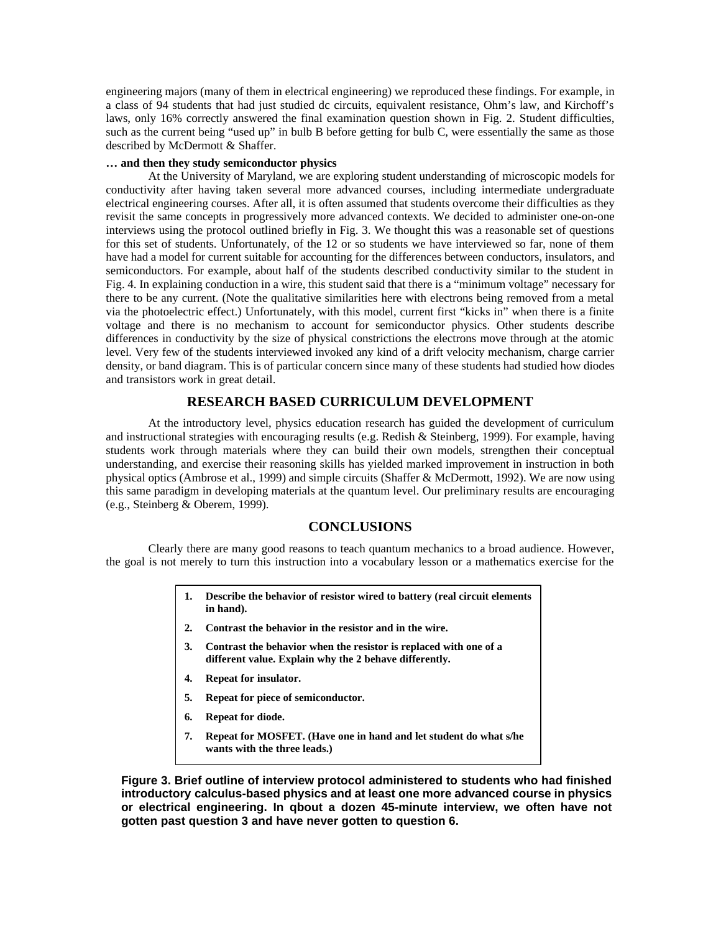engineering majors (many of them in electrical engineering) we reproduced these findings. For example, in a class of 94 students that had just studied dc circuits, equivalent resistance, Ohm's law, and Kirchoff's laws, only 16% correctly answered the final examination question shown in Fig. 2. Student difficulties, such as the current being "used up" in bulb B before getting for bulb C, were essentially the same as those described by McDermott & Shaffer.

#### **… and then they study semiconductor physics**

At the University of Maryland, we are exploring student understanding of microscopic models for conductivity after having taken several more advanced courses, including intermediate undergraduate electrical engineering courses. After all, it is often assumed that students overcome their difficulties as they revisit the same concepts in progressively more advanced contexts. We decided to administer one-on-one interviews using the protocol outlined briefly in Fig. 3. We thought this was a reasonable set of questions for this set of students. Unfortunately, of the 12 or so students we have interviewed so far, none of them have had a model for current suitable for accounting for the differences between conductors, insulators, and semiconductors. For example, about half of the students described conductivity similar to the student in Fig. 4. In explaining conduction in a wire, this student said that there is a "minimum voltage" necessary for there to be any current. (Note the qualitative similarities here with electrons being removed from a metal via the photoelectric effect.) Unfortunately, with this model, current first "kicks in" when there is a finite voltage and there is no mechanism to account for semiconductor physics. Other students describe differences in conductivity by the size of physical constrictions the electrons move through at the atomic level. Very few of the students interviewed invoked any kind of a drift velocity mechanism, charge carrier density, or band diagram. This is of particular concern since many of these students had studied how diodes and transistors work in great detail.

## **RESEARCH BASED CURRICULUM DEVELOPMENT**

At the introductory level, physics education research has guided the development of curriculum and instructional strategies with encouraging results (e.g. Redish & Steinberg, 1999). For example, having students work through materials where they can build their own models, strengthen their conceptual understanding, and exercise their reasoning skills has yielded marked improvement in instruction in both physical optics (Ambrose et al., 1999) and simple circuits (Shaffer & McDermott, 1992). We are now using this same paradigm in developing materials at the quantum level. Our preliminary results are encouraging (e.g., Steinberg & Oberem, 1999).

### **CONCLUSIONS**

Clearly there are many good reasons to teach quantum mechanics to a broad audience. However, the goal is not merely to turn this instruction into a vocabulary lesson or a mathematics exercise for the

- **1. Describe the behavior of resistor wired to battery (real circuit elements in hand).**
- **2. Contrast the behavior in the resistor and in the wire.**
- **3. Contrast the behavior when the resistor is replaced with one of a different value. Explain why the 2 behave differently.**
- **4. Repeat for insulator.**
- **5. Repeat for piece of semiconductor.**
- **6. Repeat for diode.**
- **7. Repeat for MOSFET. (Have one in hand and let student do what s/he wants with the three leads.)**

**Figure 3. Brief outline of interview protocol administered to students who had finished introductory calculus-based physics and at least one more advanced course in physics or electrical engineering. In qbout a dozen 45-minute interview, we often have not gotten past question 3 and have never gotten to question 6.**